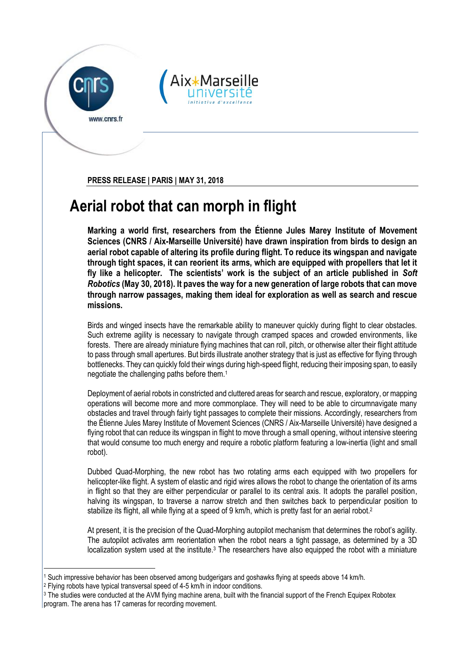



**PRESS RELEASE | PARIS | MAY 31, 2018**

## **Aerial robot that can morph in flight**

**Marking a world first, researchers from the Étienne Jules Marey Institute of Movement Sciences (CNRS / Aix-Marseille Université) have drawn inspiration from birds to design an aerial robot capable of altering its profile during flight. To reduce its wingspan and navigate through tight spaces, it can reorient its arms, which are equipped with propellers that let it fly like a helicopter. The scientists' work is the subject of an article published in** *Soft Robotics* **(May 30, 2018). It paves the way for a new generation of large robots that can move through narrow passages, making them ideal for exploration as well as search and rescue missions.**

Birds and winged insects have the remarkable ability to maneuver quickly during flight to clear obstacles. Such extreme agility is necessary to navigate through cramped spaces and crowded environments, like forests. There are already miniature flying machines that can roll, pitch, or otherwise alter their flight attitude to pass through small apertures. But birds illustrate another strategy that is just as effective for flying through bottlenecks. They can quickly fold their wings during high-speed flight, reducing their imposing span, to easily negotiate the challenging paths before them.<sup>1</sup>

Deployment of aerial robots in constricted and cluttered areas for search and rescue, exploratory, or mapping operations will become more and more commonplace. They will need to be able to circumnavigate many obstacles and travel through fairly tight passages to complete their missions. Accordingly, researchers from the Étienne Jules Marey Institute of Movement Sciences (CNRS / Aix-Marseille Université) have designed a flying robot that can reduce its wingspan in flight to move through a small opening, without intensive steering that would consume too much energy and require a robotic platform featuring a low-inertia (light and small robot).

Dubbed Quad-Morphing, the new robot has two rotating arms each equipped with two propellers for helicopter-like flight. A system of elastic and rigid wires allows the robot to change the orientation of its arms in flight so that they are either perpendicular or parallel to its central axis. It adopts the parallel position, halving its wingspan, to traverse a narrow stretch and then switches back to perpendicular position to stabilize its flight, all while flying at a speed of 9 km/h, which is pretty fast for an aerial robot.<sup>2</sup>

At present, it is the precision of the Quad-Morphing autopilot mechanism that determines the robot's agility. The autopilot activates arm reorientation when the robot nears a tight passage, as determined by a 3D localization system used at the institute.<sup>3</sup> The researchers have also equipped the robot with a miniature

<sup>1</sup> <sup>1</sup> Such impressive behavior has been observed among budgerigars and goshawks flying at speeds above 14 km/h.

<sup>2</sup> Flying robots have typical transversal speed of 4-5 km/h in indoor conditions.

<sup>&</sup>lt;sup>3</sup> The studies were conducted at the AVM flying machine arena, built with the financial support of the French Equipex Robotex program. The arena has 17 cameras for recording movement.